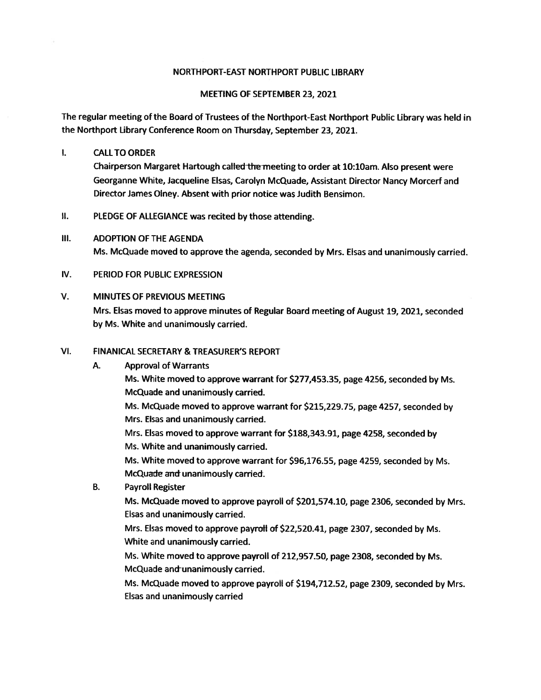#### NORTHPORT-EAST NORTHPORT PUBLIC LIBRARY

#### MEETING OF SEPTEMBER 23, 2021

The regular meeting of the Board of Trustees of the Northport-East Northport Public Library was held in the Northport Library Conference Room on Thursday, September 23, 2021.

#### $\mathbf{L}$ CALLTO ORDER

Chairperson Margaret Hartough called the meeting to order at 10:10am. Also present were Georganne White, Jacqueline Elsas, Carolyn McQuade, Assistant Director Nancy Morcerf and Director James Olney. Absent with prior notice was Judith Bensimon.

- 扎. PLEDGE OF ALLEGIANCE was recited by those attending.
- Ill. ADOPTION OF THE AGENDA Ms. McQuade moved to approve the agenda, seconded by Mrs. Elsas and unanimously carried.
- IV. PERIOD FOR PUBLIC EXPRESSION

#### V. MINUTES OF PREVIOUS MEETING

Mrs. Elsas moved to approve minutes of Regular Board meeting of August 19, 2021, seconded by Ms. White and unanimously carried.

#### VI. FINANICAL SECRETARY & TREASURER'S REPORT

#### A. Approval of Warrants

Ms. White moved to approve warrant for \$277,453.35, page 4256, seconded by Ms. McQuade and unanimously carried.

Ms. McQuade moved to approve warrant for \$215,229.75, page 4257, seconded by Mrs. Elsas and unanimously carried.

Mrs. Elsas moved to approve warrant for \$188,343.91, page 4258, seconded by Ms. White and unanimously carried.

Ms. White moved to approve warrant for \$96,176.55, page 4259, seconded by Ms. McQuade and unanimously carried.

B. Payroll Register

Ms. McQuade moved to approve payroll of \$201,574.10, page 2306, seconded by Mrs. Elsas and unanimously carried.

Mrs. Elsas moved to approve payroll of \$22,520.41, page 2307, seconded by Ms. White and unanimously carried.

Ms. White moved to approve payroll of 212,957.50, page 2308, seconded by Ms. McQuade and unanimously carried.

Ms. McQuade moved to approve payroll of \$194,712.52, page 2309, seconded by Mrs. Elsas and unanimously carried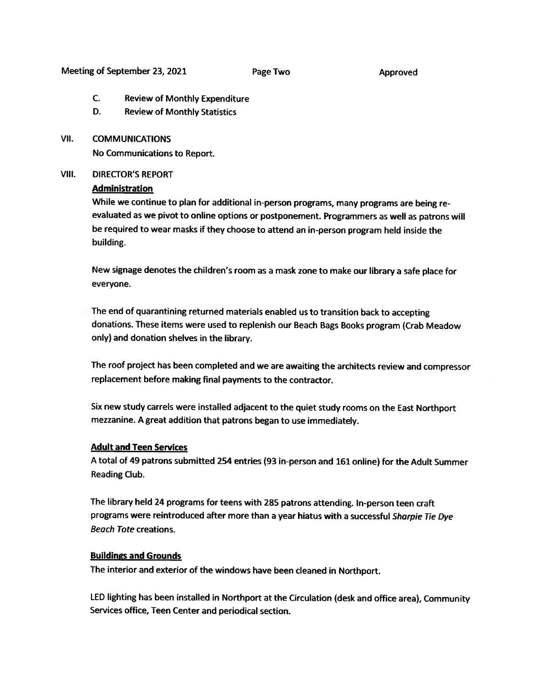#### Meeting of September 23, 2021 Page Two Page Two

- C. Review of Monthly Expenditure
- D. Review of Monthly Statistics

#### VII. COMMUNICATIONS

No Communications to Report.

#### VIII. DIRECTOR'S REPORT

#### **Administration**

While we continue to <sup>p</sup>lan for additional in-person programs, many programs are being re evaluated as we <sup>p</sup>ivot to online options or postponement. Programmers as well as patrons will be required to wear masks if they choose to attend an in-person program held inside the building.

New signage denotes the children's room as <sup>a</sup> mask zone to make our library <sup>a</sup> safe <sup>p</sup>lace for everyone.

The end of quarantining returned materials enabled us to transition back to accepting donations. These items were used to replenish our Beach Bags Books program (Crab Meadow only) and donation shelves in the library.

The roof project has been completed and we are awaiting the architects review and compressor replacement before making final payments to the contractor.

Six new study carrels were installed adjacent to the quiet study rooms on the East Northport mezzanine. <sup>A</sup> great addition that patrons began to use immediately.

#### Adult and Teen Services

<sup>A</sup> total of <sup>49</sup> patrons submitted <sup>254</sup> entries (93 in-person and <sup>161</sup> online) for the Adult Summer Reading Club.

The library held <sup>24</sup> programs for teens with <sup>285</sup> patrons attending. In-person teen craft programs were reintroduced after more than a year hiatus with a successful Sharpie Tie Dye Beach Tote creations.

#### Buildings and Grounds

The interior and exterior of the windows have been cleaned in Northport.

LED lighting has been installed in Northport at the Circulation (desk and office area), Community Services office, Teen Center and periodical section.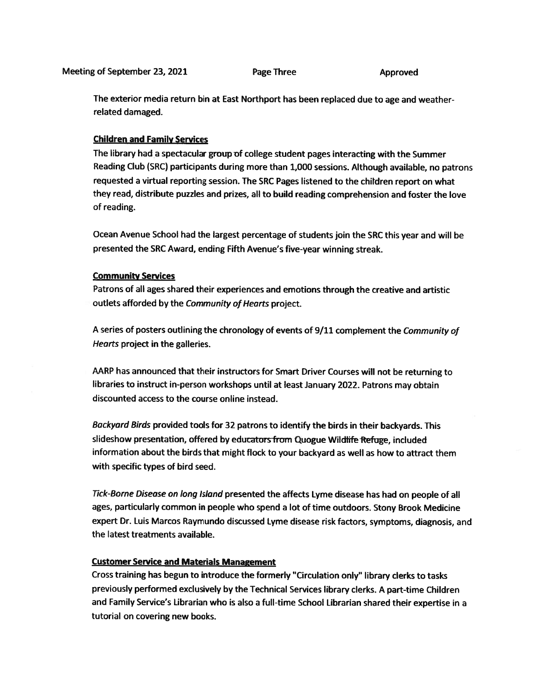The exterior media return bin at East Northport has been replaced due to age and weatherrelated damaged.

#### Children and Family Services

The library had <sup>a</sup> spectacular group of college student pages interacting with the Summer Reading Club (SRC) participants during more than 1,000 sessions. Although available, no patrons requested a virtual reporting session. The SRC Pages listened to the children report on what they read, distribute puzzles and prizes, all to build reading comprehension and foster the love of reading.

Ocean Avenue School had the largest percentage of students join the SRC this year and will be presented the SRC Award, ending Fifth Avenue's five-year winning streak.

#### Community Services

Patrons of all ages shared their experiences and emotions through the creative and artistic outlets afforded by the Community of Hearts project.

A series of posters outlining the chronology of events of 9/11 complement the Community of Hearts project in the galleries.

AARP has announced that their instructors for Smart Driver Courses will not be returning to libraries to instruct in-person workshops until at least January 2022. Patrons may obtain discounted access to the course online instead.

Backyard Birds provided tools for <sup>32</sup> patrons to identify the birds in their backyards. This slideshow presentation, offered by educators from Quogue Wildlife Refuge, included information about the birds that might flock to your backyard as well as how to attract them with specific types of bird seed.

Tick-Borne Disease on long Island presented the affects Lyme disease has had on people of all ages, particularly common in people who spen<sup>d</sup> <sup>a</sup> lot of time outdoors. Stony Brook Medicine exper<sup>t</sup> Dr. Luis Marcos Raymundo discussed Lyme disease risk factors, symptoms, diagnosis, and the latest treatments available.

#### Customer Service and Materials Management

Cross training has begun to introduce the formerly "Circulation only" library clerks to tasks previously performed exclusively by the Technical Services library clerks. <sup>A</sup> part-time Children and Family Service's Librarian who is also <sup>a</sup> full-time School Librarian shared their expertise in <sup>a</sup> tutorial on covering new books.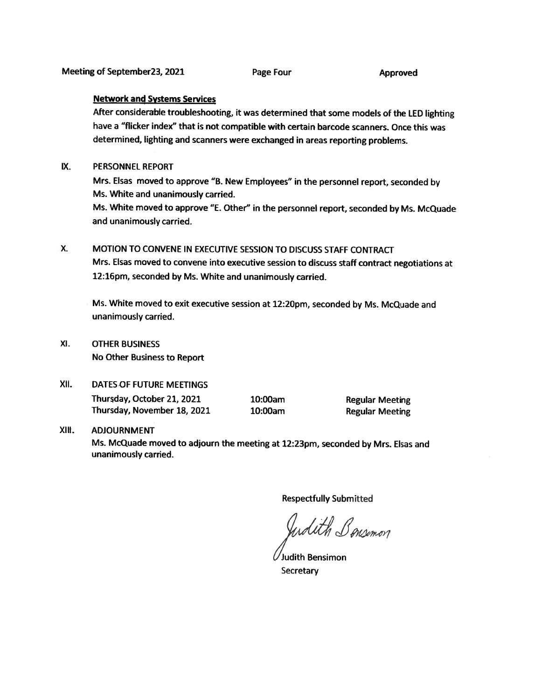#### Network and Systems Services

After considerable troubleshooting, it was determined that some models of the LED lighting have <sup>a</sup> "flicker index" that is not compatible with certain barcode scanners. Once this was determined, lighting and scanners were exchanged in areas reporting problems.

#### IX. PERSONNEL REPORT

Mrs. Elsas moved to approve "B. New Employees" in the personne<sup>l</sup> report, seconded by Ms. White and unanimously carried.

Ms. White moved to approve "E. Other" in the personne<sup>l</sup> report, seconded by Ms. McQuade and unanimously carried.

## X. MOTION TO CONVENE IN EXECUTIVE SESSION TO DISCUSS STAFF CONTRACT Mrs. Elsas moved to convene into executive session to discuss staff contract negotiations at 12:16pm, seconded by Ms. White and unanimously carried.

Ms. White moved to exit executive session at 12:20pm, seconded by Ms. McQuade and unanimously carried.

XI. OTHER BUSINESS No Other Business to Report

## XII. DATES OF FUTURE MEETINGS Thursday, October 21, <sup>2021</sup> 10:00am Regular Meeting

Thursday, November 18, 2021 10:00am Regular Meeting

#### XIII. ADJOURNMENT

Ms. McQuade moved to adjourn the meeting at 12:23pm, seconded by Mrs. Elsas and unanimously carried.

Respectfully Submitted

Undith Bonsimon

Judith Bensimon **Secretary**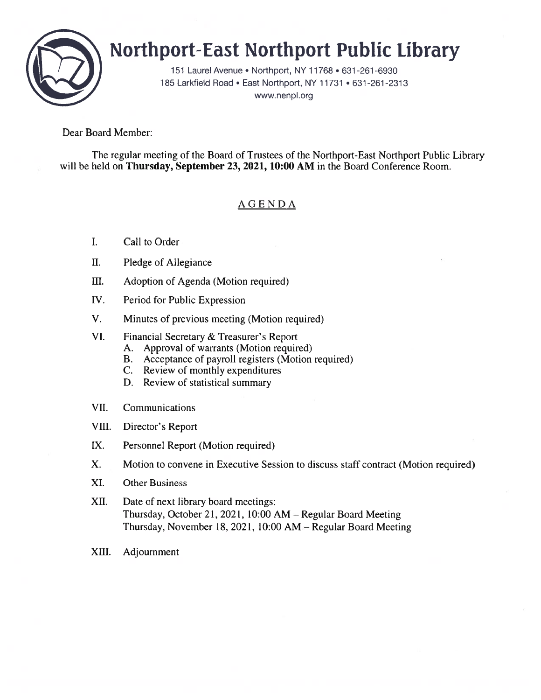

# Northport-East Northport Public Library

151 Laurel Avenue • Northport, NY 11 768 • 631 -261 -6930 185 Larkfield Road • East Northport, NY 11731 • 631-261-2313 www.nenpl.org

### Dear Board Member:

The regular meeting of the Board of Trustees of the Northport-East Northport Public Library will be held on Thursday, September 23, 2021, 10:00 AM in the Board Conference Room.

## AGENDA

- I. Call to Order
- II. Pledge of Allegiance
- III. Adoption of Agenda (Motion required)
- IV. Period for Public Expression
- V. Minutes of previous meeting (Motion required)
- VI. Financial Secretary & Treasurer's Report
	- A. Approval of warrants (Motion required)
	- B. Acceptance of payroll registers (Motion required)
	- C. Review of monthly expenditures
	- D. Review of statistical summary
- VII. Communications
- VIII. Director's Report
- LX. Personnel Report (Motion required)
- X. Motion to convene in Executive Session to discuss staff contract (Motion required)
- XI. Other Business
- XII. Date of next library board meetings: Thursday, October 21, 2021, 10:00 AM — Regular Board Meeting Thursday, November 18, 2021, 10:00 AM — Regular Board Meeting
- XIII. Adjournment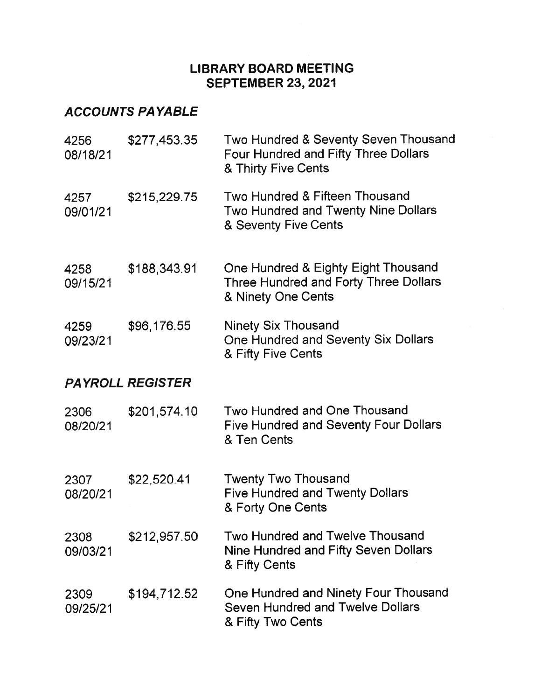## LIBRARY BOARD MEETING SEPTEMBER 23, 2021

## ACCOUNTS PAYABLE

| 4256<br>08/18/21 | \$277,453.35            | Two Hundred & Seventy Seven Thousand<br>Four Hundred and Fifty Three Dollars<br>& Thirty Five Cents  |
|------------------|-------------------------|------------------------------------------------------------------------------------------------------|
| 4257<br>09/01/21 | \$215,229.75            | Two Hundred & Fifteen Thousand<br><b>Two Hundred and Twenty Nine Dollars</b><br>& Seventy Five Cents |
| 4258<br>09/15/21 | \$188,343.91            | One Hundred & Eighty Eight Thousand<br>Three Hundred and Forty Three Dollars<br>& Ninety One Cents   |
| 4259<br>09/23/21 | \$96,176.55             | <b>Ninety Six Thousand</b><br>One Hundred and Seventy Six Dollars<br>& Fifty Five Cents              |
|                  | <b>PAYROLL REGISTER</b> |                                                                                                      |
| 2306<br>08/20/21 | \$201,574.10            | Two Hundred and One Thousand<br>Five Hundred and Seventy Four Dollars<br>& Ten Cents                 |
| 2307<br>08/20/21 | \$22,520.41             | <b>Twenty Two Thousand</b><br><b>Five Hundred and Twenty Dollars</b><br>& Forty One Cents            |
| 2308<br>09/03/21 | \$212,957.50            | <b>Two Hundred and Twelve Thousand</b><br>Nine Hundred and Fifty Seven Dollars<br>& Fifty Cents      |
| 2309<br>09/25/21 | \$194,712.52            | One Hundred and Ninety Four Thousand<br><b>Seven Hundred and Twelve Dollars</b><br>& Fifty Two Cents |